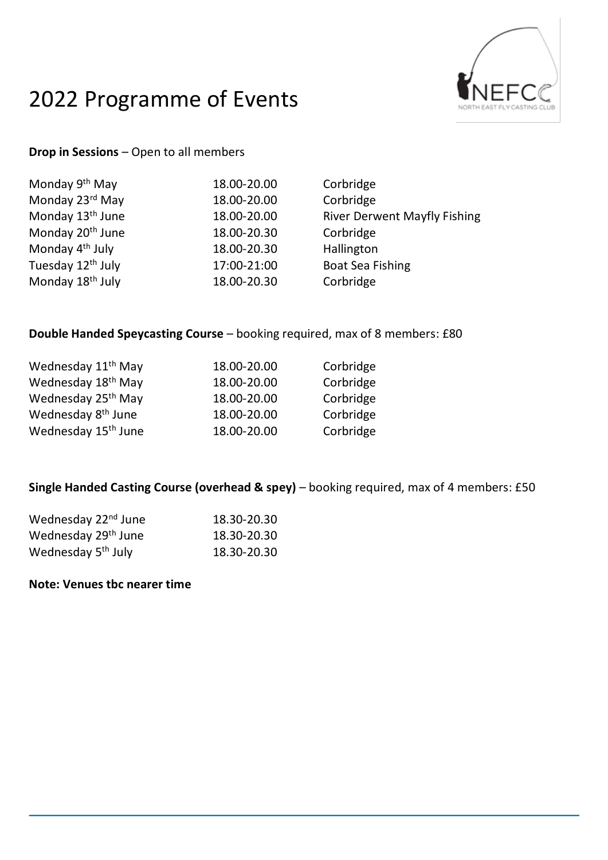# 2022 Programme of Events



### **Drop in Sessions** – Open to all members

| <b>River Derwent Mayfly Fishing</b> |
|-------------------------------------|
|                                     |
|                                     |
|                                     |
|                                     |
|                                     |

## **Double Handed Speycasting Course** – booking required, max of 8 members: £80

| Wednesday 11 <sup>th</sup> May  | 18.00-20.00 | Corbridge |
|---------------------------------|-------------|-----------|
| Wednesday 18 <sup>th</sup> May  | 18.00-20.00 | Corbridge |
| Wednesday 25 <sup>th</sup> May  | 18.00-20.00 | Corbridge |
| Wednesday 8 <sup>th</sup> June  | 18.00-20.00 | Corbridge |
| Wednesday 15 <sup>th</sup> June | 18.00-20.00 | Corbridge |

### **Single Handed Casting Course (overhead & spey)** – booking required, max of 4 members: £50

| Wednesday 22 <sup>nd</sup> June | 18.30-20.30 |
|---------------------------------|-------------|
| Wednesday 29 <sup>th</sup> June | 18.30-20.30 |
| Wednesday 5 <sup>th</sup> July  | 18.30-20.30 |

### **Note: Venues tbc nearer time**